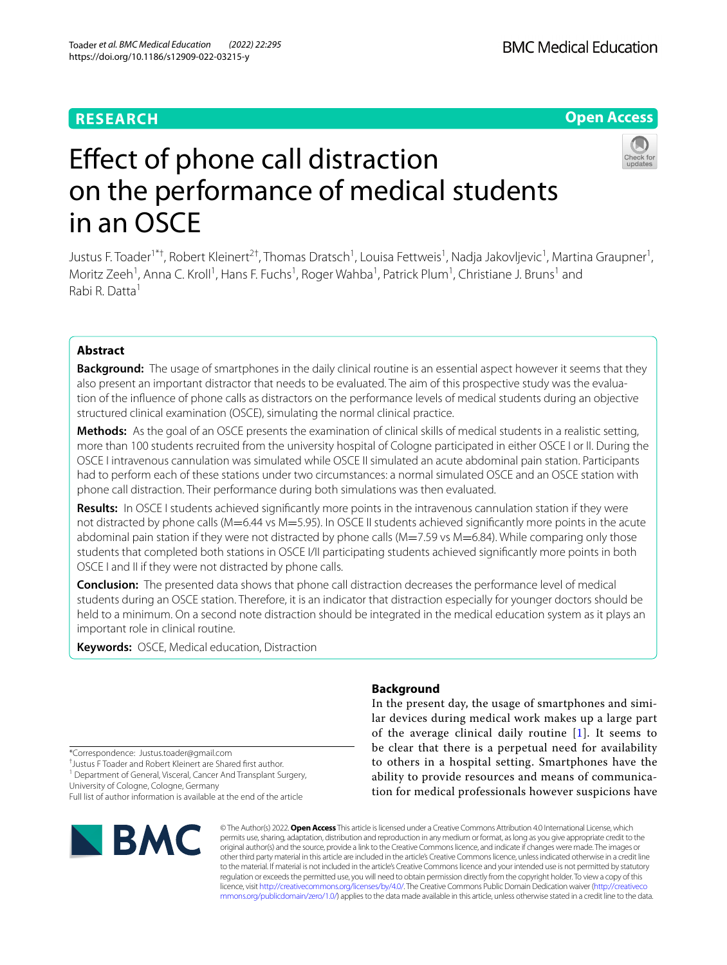# **RESEARCH**

# **Open Access**



# Efect of phone call distraction on the performance of medical students in an OSCE

Justus F. Toader<sup>1\*†</sup>, Robert Kleinert<sup>2†</sup>, Thomas Dratsch<sup>1</sup>, Louisa Fettweis<sup>1</sup>, Nadja Jakovljevic<sup>1</sup>, Martina Graupner<sup>1</sup>, Moritz Zeeh<sup>1</sup>, Anna C. Kroll<sup>1</sup>, Hans F. Fuchs<sup>1</sup>, Roger Wahba<sup>1</sup>, Patrick Plum<sup>1</sup>, Christiane J. Bruns<sup>1</sup> and Rabi R. Datta1

# **Abstract**

**Background:** The usage of smartphones in the daily clinical routine is an essential aspect however it seems that they also present an important distractor that needs to be evaluated. The aim of this prospective study was the evaluation of the infuence of phone calls as distractors on the performance levels of medical students during an objective structured clinical examination (OSCE), simulating the normal clinical practice.

**Methods:** As the goal of an OSCE presents the examination of clinical skills of medical students in a realistic setting, more than 100 students recruited from the university hospital of Cologne participated in either OSCE I or II. During the OSCE I intravenous cannulation was simulated while OSCE II simulated an acute abdominal pain station. Participants had to perform each of these stations under two circumstances: a normal simulated OSCE and an OSCE station with phone call distraction. Their performance during both simulations was then evaluated.

**Results:** In OSCE I students achieved signifcantly more points in the intravenous cannulation station if they were not distracted by phone calls (M=6.44 vs M=5.95). In OSCE II students achieved significantly more points in the acute abdominal pain station if they were not distracted by phone calls (M=7.59 vs M=6.84). While comparing only those students that completed both stations in OSCE I/II participating students achieved signifcantly more points in both OSCE I and II if they were not distracted by phone calls.

**Conclusion:** The presented data shows that phone call distraction decreases the performance level of medical students during an OSCE station. Therefore, it is an indicator that distraction especially for younger doctors should be held to a minimum. On a second note distraction should be integrated in the medical education system as it plays an important role in clinical routine.

**Keywords:** OSCE, Medical education, Distraction

## **Background**

In the present day, the usage of smartphones and similar devices during medical work makes up a large part of the average clinical daily routine  $[1]$  $[1]$ . It seems to be clear that there is a perpetual need for availability to others in a hospital setting. Smartphones have the ability to provide resources and means of communication for medical professionals however suspicions have

\*Correspondence: Justus.toader@gmail.com

† Justus F Toader and Robert Kleinert are Shared frst author.

<sup>1</sup> Department of General, Visceral, Cancer And Transplant Surgery, University of Cologne, Cologne, Germany

Full list of author information is available at the end of the article



© The Author(s) 2022. **Open Access** This article is licensed under a Creative Commons Attribution 4.0 International License, which permits use, sharing, adaptation, distribution and reproduction in any medium or format, as long as you give appropriate credit to the original author(s) and the source, provide a link to the Creative Commons licence, and indicate if changes were made. The images or other third party material in this article are included in the article's Creative Commons licence, unless indicated otherwise in a credit line to the material. If material is not included in the article's Creative Commons licence and your intended use is not permitted by statutory regulation or exceeds the permitted use, you will need to obtain permission directly from the copyright holder. To view a copy of this licence, visit [http://creativecommons.org/licenses/by/4.0/.](http://creativecommons.org/licenses/by/4.0/) The Creative Commons Public Domain Dedication waiver ([http://creativeco](http://creativecommons.org/publicdomain/zero/1.0/) [mmons.org/publicdomain/zero/1.0/](http://creativecommons.org/publicdomain/zero/1.0/)) applies to the data made available in this article, unless otherwise stated in a credit line to the data.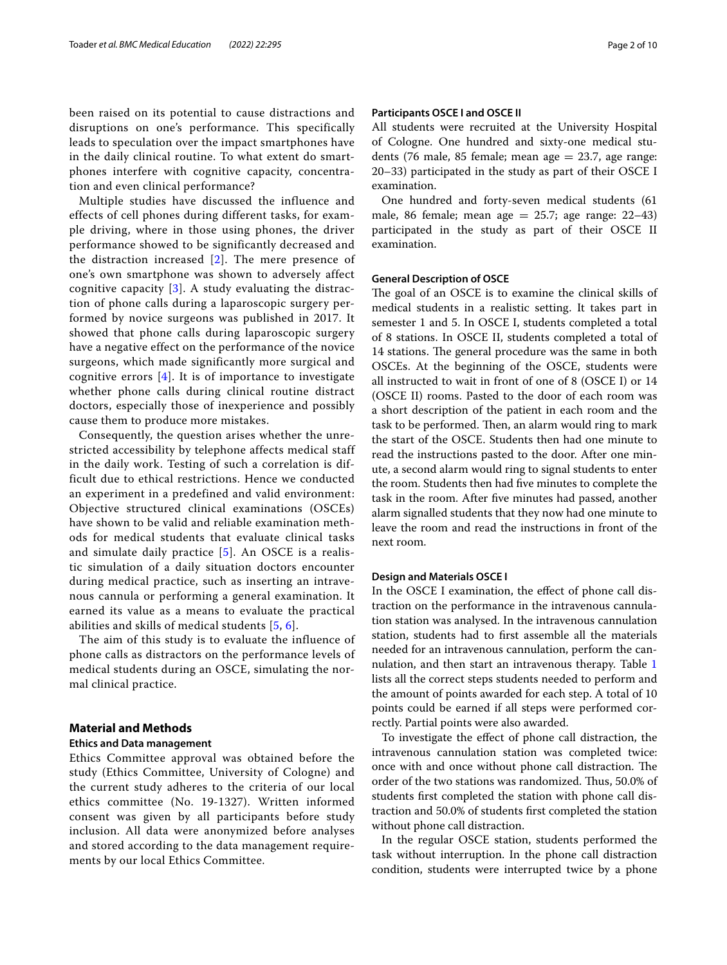been raised on its potential to cause distractions and disruptions on one's performance. This specifically leads to speculation over the impact smartphones have in the daily clinical routine. To what extent do smartphones interfere with cognitive capacity, concentration and even clinical performance?

Multiple studies have discussed the influence and effects of cell phones during different tasks, for example driving, where in those using phones, the driver performance showed to be significantly decreased and the distraction increased [[2\]](#page-8-1). The mere presence of one's own smartphone was shown to adversely affect cognitive capacity  $[3]$ . A study evaluating the distraction of phone calls during a laparoscopic surgery performed by novice surgeons was published in 2017. It showed that phone calls during laparoscopic surgery have a negative effect on the performance of the novice surgeons, which made significantly more surgical and cognitive errors [\[4](#page-8-3)]. It is of importance to investigate whether phone calls during clinical routine distract doctors, especially those of inexperience and possibly cause them to produce more mistakes.

Consequently, the question arises whether the unrestricted accessibility by telephone affects medical staff in the daily work. Testing of such a correlation is difficult due to ethical restrictions. Hence we conducted an experiment in a predefined and valid environment: Objective structured clinical examinations (OSCEs) have shown to be valid and reliable examination methods for medical students that evaluate clinical tasks and simulate daily practice [[5\]](#page-8-4). An OSCE is a realistic simulation of a daily situation doctors encounter during medical practice, such as inserting an intravenous cannula or performing a general examination. It earned its value as a means to evaluate the practical abilities and skills of medical students [[5](#page-8-4), [6](#page-8-5)].

The aim of this study is to evaluate the influence of phone calls as distractors on the performance levels of medical students during an OSCE, simulating the normal clinical practice.

## **Material and Methods**

## **Ethics and Data management**

Ethics Committee approval was obtained before the study (Ethics Committee, University of Cologne) and the current study adheres to the criteria of our local ethics committee (No. 19-1327). Written informed consent was given by all participants before study inclusion. All data were anonymized before analyses and stored according to the data management requirements by our local Ethics Committee.

## **Participants OSCE I and OSCE II**

All students were recruited at the University Hospital of Cologne. One hundred and sixty-one medical students (76 male, 85 female; mean age  $= 23.7$ , age range: 20–33) participated in the study as part of their OSCE I examination.

One hundred and forty-seven medical students (61 male, 86 female; mean age  $= 25.7$ ; age range:  $22-43$ ) participated in the study as part of their OSCE II examination.

## **General Description of OSCE**

The goal of an OSCE is to examine the clinical skills of medical students in a realistic setting. It takes part in semester 1 and 5. In OSCE I, students completed a total of 8 stations. In OSCE II, students completed a total of 14 stations. The general procedure was the same in both OSCEs. At the beginning of the OSCE, students were all instructed to wait in front of one of 8 (OSCE I) or 14 (OSCE II) rooms. Pasted to the door of each room was a short description of the patient in each room and the task to be performed. Then, an alarm would ring to mark the start of the OSCE. Students then had one minute to read the instructions pasted to the door. After one minute, a second alarm would ring to signal students to enter the room. Students then had fve minutes to complete the task in the room. After fve minutes had passed, another alarm signalled students that they now had one minute to leave the room and read the instructions in front of the next room.

#### **Design and Materials OSCE I**

In the OSCE I examination, the efect of phone call distraction on the performance in the intravenous cannulation station was analysed. In the intravenous cannulation station, students had to frst assemble all the materials needed for an intravenous cannulation, perform the cannulation, and then start an intravenous therapy. Table [1](#page-2-0) lists all the correct steps students needed to perform and the amount of points awarded for each step. A total of 10 points could be earned if all steps were performed correctly. Partial points were also awarded.

To investigate the efect of phone call distraction, the intravenous cannulation station was completed twice: once with and once without phone call distraction. The order of the two stations was randomized. Thus, 50.0% of students frst completed the station with phone call distraction and 50.0% of students frst completed the station without phone call distraction.

In the regular OSCE station, students performed the task without interruption. In the phone call distraction condition, students were interrupted twice by a phone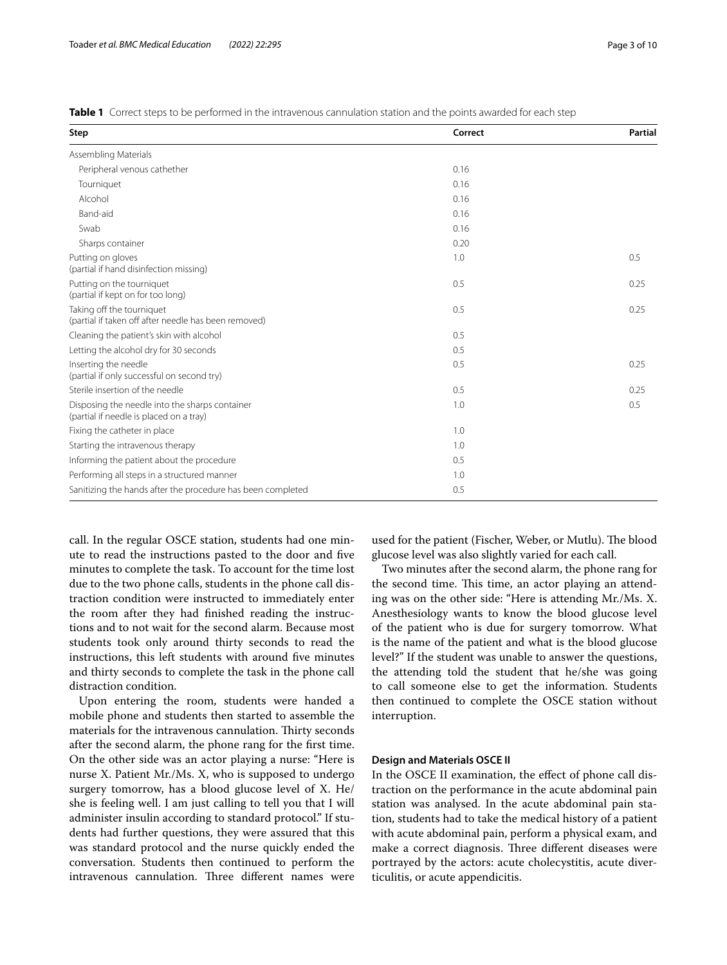<span id="page-2-0"></span>**Table 1** Correct steps to be performed in the intravenous cannulation station and the points awarded for each step

| Step                                                                                      | Correct | <b>Partial</b> |
|-------------------------------------------------------------------------------------------|---------|----------------|
| Assembling Materials                                                                      |         |                |
| Peripheral venous cathether                                                               | 0.16    |                |
| Tourniquet                                                                                | 0.16    |                |
| Alcohol                                                                                   | 0.16    |                |
| Band-aid                                                                                  | 0.16    |                |
| Swab                                                                                      | 0.16    |                |
| Sharps container                                                                          | 0.20    |                |
| Putting on gloves<br>(partial if hand disinfection missing)                               | 1.0     | 0.5            |
| Putting on the tourniquet<br>(partial if kept on for too long)                            | 0.5     | 0.25           |
| Taking off the tourniquet<br>(partial if taken off after needle has been removed)         | 0.5     | 0.25           |
| Cleaning the patient's skin with alcohol                                                  | 0.5     |                |
| Letting the alcohol dry for 30 seconds                                                    | 0.5     |                |
| Inserting the needle<br>(partial if only successful on second try)                        | 0.5     | 0.25           |
| Sterile insertion of the needle                                                           | 0.5     | 0.25           |
| Disposing the needle into the sharps container<br>(partial if needle is placed on a tray) | 1.0     | 0.5            |
| Fixing the catheter in place                                                              | 1.0     |                |
| Starting the intravenous therapy                                                          | 1.0     |                |
| Informing the patient about the procedure                                                 | 0.5     |                |
| Performing all steps in a structured manner                                               | 1.0     |                |
| Sanitizing the hands after the procedure has been completed                               | 0.5     |                |

call. In the regular OSCE station, students had one minute to read the instructions pasted to the door and fve minutes to complete the task. To account for the time lost due to the two phone calls, students in the phone call distraction condition were instructed to immediately enter the room after they had fnished reading the instructions and to not wait for the second alarm. Because most students took only around thirty seconds to read the instructions, this left students with around five minutes and thirty seconds to complete the task in the phone call distraction condition.

Upon entering the room, students were handed a mobile phone and students then started to assemble the materials for the intravenous cannulation. Thirty seconds after the second alarm, the phone rang for the frst time. On the other side was an actor playing a nurse: "Here is nurse X. Patient Mr./Ms. X, who is supposed to undergo surgery tomorrow, has a blood glucose level of X. He/ she is feeling well. I am just calling to tell you that I will administer insulin according to standard protocol." If students had further questions, they were assured that this was standard protocol and the nurse quickly ended the conversation. Students then continued to perform the intravenous cannulation. Three different names were used for the patient (Fischer, Weber, or Mutlu). The blood glucose level was also slightly varied for each call.

Two minutes after the second alarm, the phone rang for the second time. This time, an actor playing an attending was on the other side: "Here is attending Mr./Ms. X. Anesthesiology wants to know the blood glucose level of the patient who is due for surgery tomorrow. What is the name of the patient and what is the blood glucose level?" If the student was unable to answer the questions, the attending told the student that he/she was going to call someone else to get the information. Students then continued to complete the OSCE station without interruption.

## **Design and Materials OSCE II**

In the OSCE II examination, the efect of phone call distraction on the performance in the acute abdominal pain station was analysed. In the acute abdominal pain station, students had to take the medical history of a patient with acute abdominal pain, perform a physical exam, and make a correct diagnosis. Three different diseases were portrayed by the actors: acute cholecystitis, acute diverticulitis, or acute appendicitis.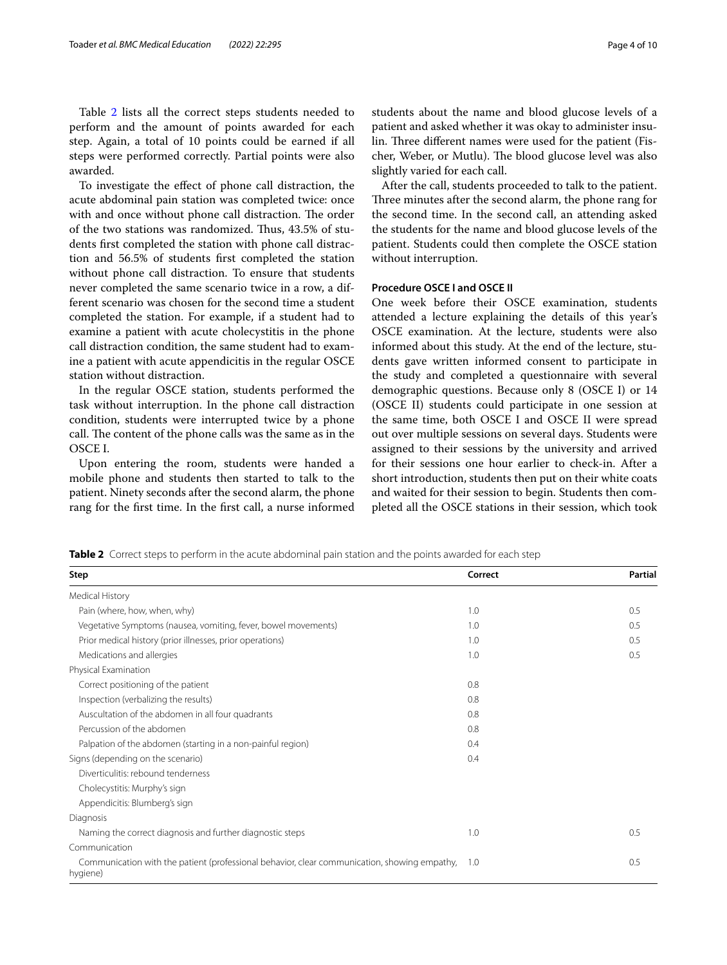Table [2](#page-3-0) lists all the correct steps students needed to perform and the amount of points awarded for each step. Again, a total of 10 points could be earned if all steps were performed correctly. Partial points were also awarded.

To investigate the efect of phone call distraction, the acute abdominal pain station was completed twice: once with and once without phone call distraction. The order of the two stations was randomized. Thus, 43.5% of students frst completed the station with phone call distraction and 56.5% of students frst completed the station without phone call distraction. To ensure that students never completed the same scenario twice in a row, a different scenario was chosen for the second time a student completed the station. For example, if a student had to examine a patient with acute cholecystitis in the phone call distraction condition, the same student had to examine a patient with acute appendicitis in the regular OSCE station without distraction.

In the regular OSCE station, students performed the task without interruption. In the phone call distraction condition, students were interrupted twice by a phone call. The content of the phone calls was the same as in the OSCE I.

Upon entering the room, students were handed a mobile phone and students then started to talk to the patient. Ninety seconds after the second alarm, the phone rang for the frst time. In the frst call, a nurse informed students about the name and blood glucose levels of a patient and asked whether it was okay to administer insulin. Three different names were used for the patient (Fischer, Weber, or Mutlu). The blood glucose level was also slightly varied for each call.

After the call, students proceeded to talk to the patient. Three minutes after the second alarm, the phone rang for the second time. In the second call, an attending asked the students for the name and blood glucose levels of the patient. Students could then complete the OSCE station without interruption.

## **Procedure OSCE I and OSCE II**

One week before their OSCE examination, students attended a lecture explaining the details of this year's OSCE examination. At the lecture, students were also informed about this study. At the end of the lecture, students gave written informed consent to participate in the study and completed a questionnaire with several demographic questions. Because only 8 (OSCE I) or 14 (OSCE II) students could participate in one session at the same time, both OSCE I and OSCE II were spread out over multiple sessions on several days. Students were assigned to their sessions by the university and arrived for their sessions one hour earlier to check-in. After a short introduction, students then put on their white coats and waited for their session to begin. Students then completed all the OSCE stations in their session, which took

<span id="page-3-0"></span>**Table 2** Correct steps to perform in the acute abdominal pain station and the points awarded for each step

| Step                                                                                                     | Correct | Partial |
|----------------------------------------------------------------------------------------------------------|---------|---------|
| Medical History                                                                                          |         |         |
| Pain (where, how, when, why)                                                                             | 1.0     | 0.5     |
| Vegetative Symptoms (nausea, vomiting, fever, bowel movements)                                           | 1.0     | 0.5     |
| Prior medical history (prior illnesses, prior operations)                                                | 1.0     | 0.5     |
| Medications and allergies                                                                                | 1.0     | 0.5     |
| Physical Examination                                                                                     |         |         |
| Correct positioning of the patient                                                                       | 0.8     |         |
| Inspection (verbalizing the results)                                                                     | 0.8     |         |
| Auscultation of the abdomen in all four quadrants                                                        | 0.8     |         |
| Percussion of the abdomen                                                                                | 0.8     |         |
| Palpation of the abdomen (starting in a non-painful region)                                              | 0.4     |         |
| Signs (depending on the scenario)                                                                        | 0.4     |         |
| Diverticulitis: rebound tenderness                                                                       |         |         |
| Cholecystitis: Murphy's sign                                                                             |         |         |
| Appendicitis: Blumberg's sign                                                                            |         |         |
| Diagnosis                                                                                                |         |         |
| Naming the correct diagnosis and further diagnostic steps                                                | 1.0     | 0.5     |
| Communication                                                                                            |         |         |
| Communication with the patient (professional behavior, clear communication, showing empathy,<br>hygiene) | 1.0     | 0.5     |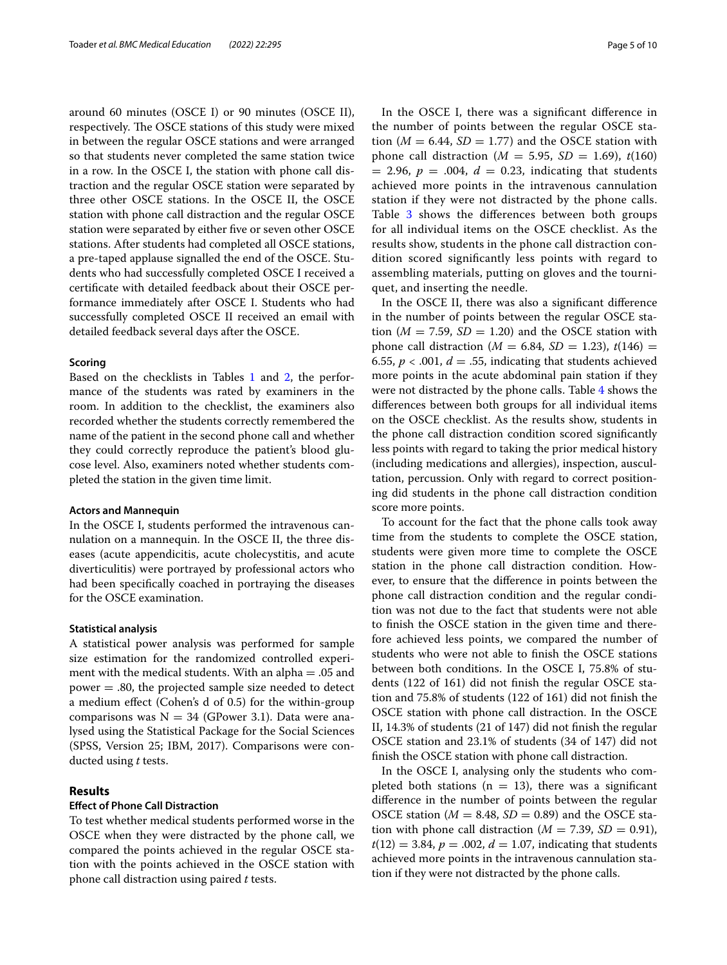around 60 minutes (OSCE I) or 90 minutes (OSCE II), respectively. The OSCE stations of this study were mixed in between the regular OSCE stations and were arranged so that students never completed the same station twice in a row. In the OSCE I, the station with phone call distraction and the regular OSCE station were separated by three other OSCE stations. In the OSCE II, the OSCE station with phone call distraction and the regular OSCE station were separated by either fve or seven other OSCE stations. After students had completed all OSCE stations, a pre-taped applause signalled the end of the OSCE. Students who had successfully completed OSCE I received a certifcate with detailed feedback about their OSCE performance immediately after OSCE I. Students who had successfully completed OSCE II received an email with detailed feedback several days after the OSCE.

#### **Scoring**

Based on the checklists in Tables [1](#page-2-0) and [2,](#page-3-0) the performance of the students was rated by examiners in the room. In addition to the checklist, the examiners also recorded whether the students correctly remembered the name of the patient in the second phone call and whether they could correctly reproduce the patient's blood glucose level. Also, examiners noted whether students completed the station in the given time limit.

#### **Actors and Mannequin**

In the OSCE I, students performed the intravenous cannulation on a mannequin. In the OSCE II, the three diseases (acute appendicitis, acute cholecystitis, and acute diverticulitis) were portrayed by professional actors who had been specifcally coached in portraying the diseases for the OSCE examination.

## **Statistical analysis**

A statistical power analysis was performed for sample size estimation for the randomized controlled experiment with the medical students. With an alpha = .05 and power  $=$  .80, the projected sample size needed to detect a medium efect (Cohen's d of 0.5) for the within-group comparisons was  $N = 34$  (GPower 3.1). Data were analysed using the Statistical Package for the Social Sciences (SPSS, Version 25; IBM, 2017). Comparisons were conducted using *t* tests.

## **Results**

## **Efect of Phone Call Distraction**

To test whether medical students performed worse in the OSCE when they were distracted by the phone call, we compared the points achieved in the regular OSCE station with the points achieved in the OSCE station with phone call distraction using paired *t* tests.

In the OSCE I, there was a signifcant diference in the number of points between the regular OSCE station ( $M = 6.44$ ,  $SD = 1.77$ ) and the OSCE station with phone call distraction (*M* = 5.95, *SD* = 1.69),  $t(160)$  $= 2.96, p = .004, d = 0.23, indicating that students$ achieved more points in the intravenous cannulation station if they were not distracted by the phone calls. Table [3](#page-5-0) shows the differences between both groups for all individual items on the OSCE checklist. As the results show, students in the phone call distraction condition scored signifcantly less points with regard to assembling materials, putting on gloves and the tourniquet, and inserting the needle.

In the OSCE II, there was also a signifcant diference in the number of points between the regular OSCE station ( $M = 7.59$ ,  $SD = 1.20$ ) and the OSCE station with phone call distraction ( $M = 6.84$ ,  $SD = 1.23$ ),  $t(146) =$ 6.55,  $p < .001$ ,  $d = .55$ , indicating that students achieved more points in the acute abdominal pain station if they were not distracted by the phone calls. Table [4](#page-6-0) shows the diferences between both groups for all individual items on the OSCE checklist. As the results show, students in the phone call distraction condition scored signifcantly less points with regard to taking the prior medical history (including medications and allergies), inspection, auscultation, percussion. Only with regard to correct positioning did students in the phone call distraction condition score more points.

To account for the fact that the phone calls took away time from the students to complete the OSCE station, students were given more time to complete the OSCE station in the phone call distraction condition. However, to ensure that the diference in points between the phone call distraction condition and the regular condition was not due to the fact that students were not able to fnish the OSCE station in the given time and therefore achieved less points, we compared the number of students who were not able to fnish the OSCE stations between both conditions. In the OSCE I, 75.8% of students (122 of 161) did not fnish the regular OSCE station and 75.8% of students (122 of 161) did not fnish the OSCE station with phone call distraction. In the OSCE II, 14.3% of students (21 of 147) did not fnish the regular OSCE station and 23.1% of students (34 of 147) did not fnish the OSCE station with phone call distraction.

In the OSCE I, analysing only the students who completed both stations ( $n = 13$ ), there was a significant diference in the number of points between the regular OSCE station ( $M = 8.48$ ,  $SD = 0.89$ ) and the OSCE station with phone call distraction ( $M = 7.39$ ,  $SD = 0.91$ ),  $t(12) = 3.84, p = .002, d = 1.07$ , indicating that students achieved more points in the intravenous cannulation station if they were not distracted by the phone calls.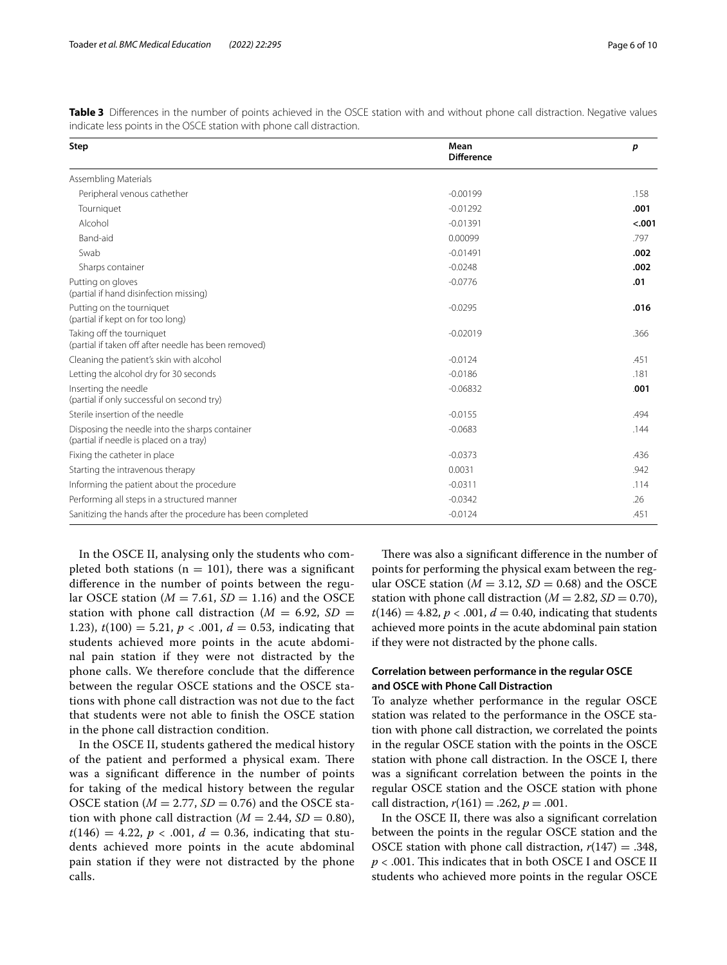<span id="page-5-0"></span>

| Table 3 Differences in the number of points achieved in the OSCE station with and without phone call distraction. Negative values |  |  |
|-----------------------------------------------------------------------------------------------------------------------------------|--|--|
| indicate less points in the OSCE station with phone call distraction.                                                             |  |  |

| Step                                                                                      | Mean<br><b>Difference</b> | p      |
|-------------------------------------------------------------------------------------------|---------------------------|--------|
| Assembling Materials                                                                      |                           |        |
| Peripheral venous cathether                                                               | $-0.00199$                | .158   |
| Tourniquet                                                                                | $-0.01292$                | .001   |
| Alcohol                                                                                   | $-0.01391$                | < .001 |
| Band-aid                                                                                  | 0.00099                   | .797   |
| Swab                                                                                      | $-0.01491$                | .002   |
| Sharps container                                                                          | $-0.0248$                 | .002   |
| Putting on gloves<br>(partial if hand disinfection missing)                               | $-0.0776$                 | .01    |
| Putting on the tourniquet<br>(partial if kept on for too long)                            | $-0.0295$                 | .016   |
| Taking off the tourniquet<br>(partial if taken off after needle has been removed)         | $-0.02019$                | .366   |
| Cleaning the patient's skin with alcohol                                                  | $-0.0124$                 | .451   |
| Letting the alcohol dry for 30 seconds                                                    | $-0.0186$                 | .181   |
| Inserting the needle<br>(partial if only successful on second try)                        | $-0.06832$                | .001   |
| Sterile insertion of the needle                                                           | $-0.0155$                 | .494   |
| Disposing the needle into the sharps container<br>(partial if needle is placed on a tray) | $-0.0683$                 | .144   |
| Fixing the catheter in place                                                              | $-0.0373$                 | .436   |
| Starting the intravenous therapy                                                          | 0.0031                    | .942   |
| Informing the patient about the procedure                                                 | $-0.0311$                 | .114   |
| Performing all steps in a structured manner                                               | $-0.0342$                 | .26    |
| Sanitizing the hands after the procedure has been completed                               | $-0.0124$                 | .451   |

In the OSCE II, analysing only the students who completed both stations ( $n = 101$ ), there was a significant diference in the number of points between the regular OSCE station ( $M = 7.61$ ,  $SD = 1.16$ ) and the OSCE station with phone call distraction ( $M = 6.92$ ,  $SD =$ 1.23),  $t(100) = 5.21$ ,  $p < .001$ ,  $d = 0.53$ , indicating that students achieved more points in the acute abdominal pain station if they were not distracted by the phone calls. We therefore conclude that the diference between the regular OSCE stations and the OSCE stations with phone call distraction was not due to the fact that students were not able to fnish the OSCE station in the phone call distraction condition.

In the OSCE II, students gathered the medical history of the patient and performed a physical exam. There was a signifcant diference in the number of points for taking of the medical history between the regular OSCE station ( $M = 2.77$ ,  $SD = 0.76$ ) and the OSCE station with phone call distraction ( $M = 2.44$ ,  $SD = 0.80$ ),  $t(146) = 4.22, p < .001, d = 0.36$ , indicating that students achieved more points in the acute abdominal pain station if they were not distracted by the phone calls.

There was also a significant difference in the number of points for performing the physical exam between the regular OSCE station ( $M = 3.12$ ,  $SD = 0.68$ ) and the OSCE station with phone call distraction ( $M = 2.82$ ,  $SD = 0.70$ ),  $t(146) = 4.82, p < .001, d = 0.40$ , indicating that students achieved more points in the acute abdominal pain station if they were not distracted by the phone calls.

## **Correlation between performance in the regular OSCE and OSCE with Phone Call Distraction**

To analyze whether performance in the regular OSCE station was related to the performance in the OSCE station with phone call distraction, we correlated the points in the regular OSCE station with the points in the OSCE station with phone call distraction. In the OSCE I, there was a signifcant correlation between the points in the regular OSCE station and the OSCE station with phone call distraction,  $r(161) = .262$ ,  $p = .001$ .

In the OSCE II, there was also a signifcant correlation between the points in the regular OSCE station and the OSCE station with phone call distraction,  $r(147) = .348$ , *p* < .001. This indicates that in both OSCE I and OSCE II students who achieved more points in the regular OSCE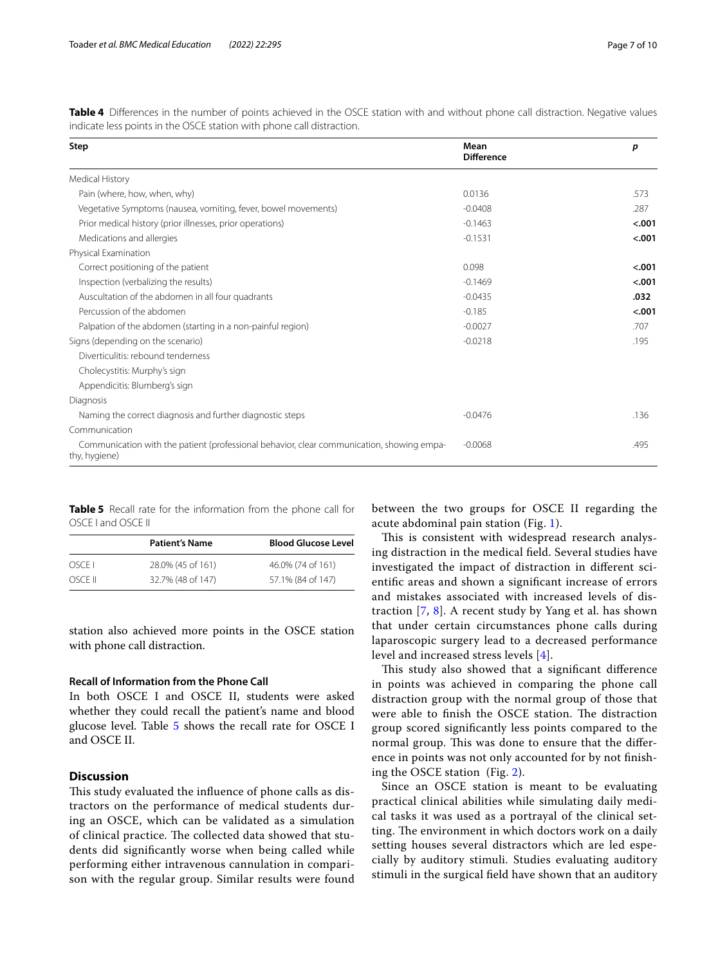| Step                                                                                                       | Mean<br><b>Difference</b> | p       |
|------------------------------------------------------------------------------------------------------------|---------------------------|---------|
| Medical History                                                                                            |                           |         |
| Pain (where, how, when, why)                                                                               | 0.0136                    | .573    |
| Vegetative Symptoms (nausea, vomiting, fever, bowel movements)                                             | $-0.0408$                 | .287    |
| Prior medical history (prior illnesses, prior operations)                                                  | $-0.1463$                 | < .001  |
| Medications and allergies                                                                                  | $-0.1531$                 | < .001  |
| Physical Examination                                                                                       |                           |         |
| Correct positioning of the patient                                                                         | 0.098                     | < .001  |
| Inspection (verbalizing the results)                                                                       | $-0.1469$                 | < .001  |
| Auscultation of the abdomen in all four quadrants                                                          | $-0.0435$                 | .032    |
| Percussion of the abdomen                                                                                  | $-0.185$                  | $-.001$ |
| Palpation of the abdomen (starting in a non-painful region)                                                | $-0.0027$                 | .707    |
| Signs (depending on the scenario)                                                                          | $-0.0218$                 | .195    |
| Diverticulitis: rebound tenderness                                                                         |                           |         |
| Cholecystitis: Murphy's sign                                                                               |                           |         |
| Appendicitis: Blumberg's sign                                                                              |                           |         |
| Diagnosis                                                                                                  |                           |         |
| Naming the correct diagnosis and further diagnostic steps                                                  | $-0.0476$                 | .136    |
| Communication                                                                                              |                           |         |
| Communication with the patient (professional behavior, clear communication, showing empa-<br>thy, hygiene) | $-0.0068$                 | .495    |

<span id="page-6-0"></span>Table 4 Differences in the number of points achieved in the OSCE station with and without phone call distraction. Negative values indicate less points in the OSCE station with phone call distraction.

<span id="page-6-1"></span>**Table 5** Recall rate for the information from the phone call for OSCE I and OSCE II

|         | <b>Patient's Name</b> | <b>Blood Glucose Level</b> |
|---------|-----------------------|----------------------------|
| OSCEI   | 28.0% (45 of 161)     | 46.0% (74 of 161)          |
| OSCE II | 32.7% (48 of 147)     | 57.1% (84 of 147)          |

station also achieved more points in the OSCE station with phone call distraction.

## **Recall of Information from the Phone Call**

In both OSCE I and OSCE II, students were asked whether they could recall the patient's name and blood glucose level. Table [5](#page-6-1) shows the recall rate for OSCE I and OSCE II.

## **Discussion**

This study evaluated the influence of phone calls as distractors on the performance of medical students during an OSCE, which can be validated as a simulation of clinical practice. The collected data showed that students did signifcantly worse when being called while performing either intravenous cannulation in comparison with the regular group. Similar results were found between the two groups for OSCE II regarding the acute abdominal pain station (Fig. [1](#page-7-0)).

This is consistent with widespread research analysing distraction in the medical feld. Several studies have investigated the impact of distraction in diferent scientifc areas and shown a signifcant increase of errors and mistakes associated with increased levels of distraction [[7,](#page-8-6) [8](#page-8-7)]. A recent study by Yang et al. has shown that under certain circumstances phone calls during laparoscopic surgery lead to a decreased performance level and increased stress levels [[4\]](#page-8-3).

This study also showed that a significant difference in points was achieved in comparing the phone call distraction group with the normal group of those that were able to finish the OSCE station. The distraction group scored signifcantly less points compared to the normal group. This was done to ensure that the difference in points was not only accounted for by not fnishing the OSCE station (Fig. [2\)](#page-7-1).

Since an OSCE station is meant to be evaluating practical clinical abilities while simulating daily medical tasks it was used as a portrayal of the clinical setting. The environment in which doctors work on a daily setting houses several distractors which are led especially by auditory stimuli. Studies evaluating auditory stimuli in the surgical feld have shown that an auditory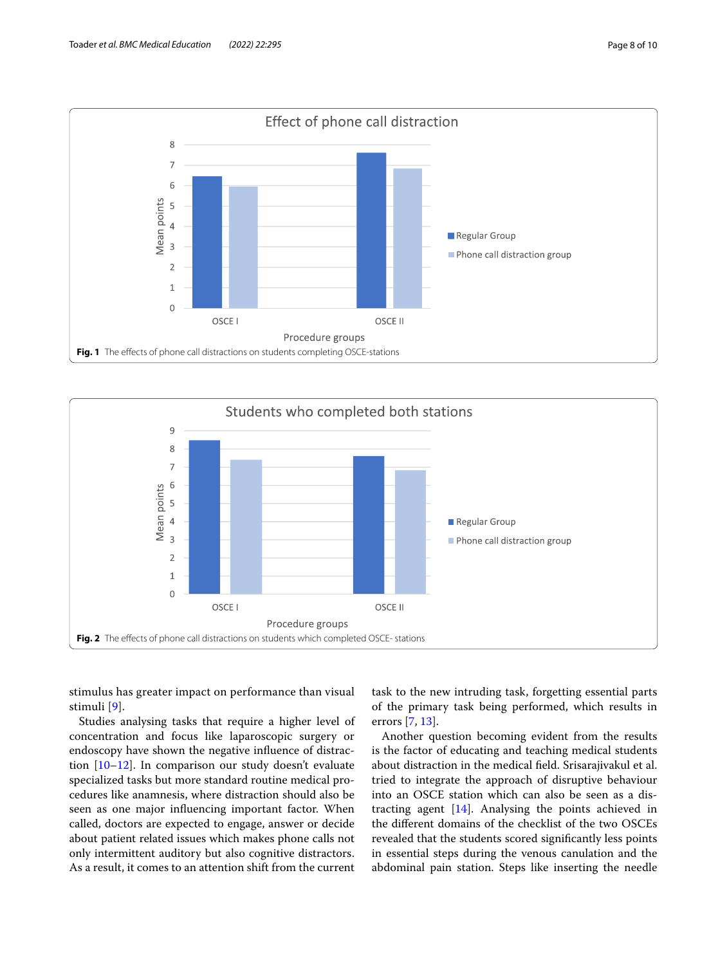

<span id="page-7-0"></span>

<span id="page-7-1"></span>stimulus has greater impact on performance than visual stimuli [[9\]](#page-9-0).

Studies analysing tasks that require a higher level of concentration and focus like laparoscopic surgery or endoscopy have shown the negative infuence of distraction [\[10](#page-9-1)[–12\]](#page-9-2). In comparison our study doesn't evaluate specialized tasks but more standard routine medical procedures like anamnesis, where distraction should also be seen as one major infuencing important factor. When called, doctors are expected to engage, answer or decide about patient related issues which makes phone calls not only intermittent auditory but also cognitive distractors. As a result, it comes to an attention shift from the current task to the new intruding task, forgetting essential parts of the primary task being performed, which results in errors [[7,](#page-8-6) [13](#page-9-3)].

Another question becoming evident from the results is the factor of educating and teaching medical students about distraction in the medical feld. Srisarajivakul et al. tried to integrate the approach of disruptive behaviour into an OSCE station which can also be seen as a distracting agent [[14\]](#page-9-4). Analysing the points achieved in the diferent domains of the checklist of the two OSCEs revealed that the students scored signifcantly less points in essential steps during the venous canulation and the abdominal pain station. Steps like inserting the needle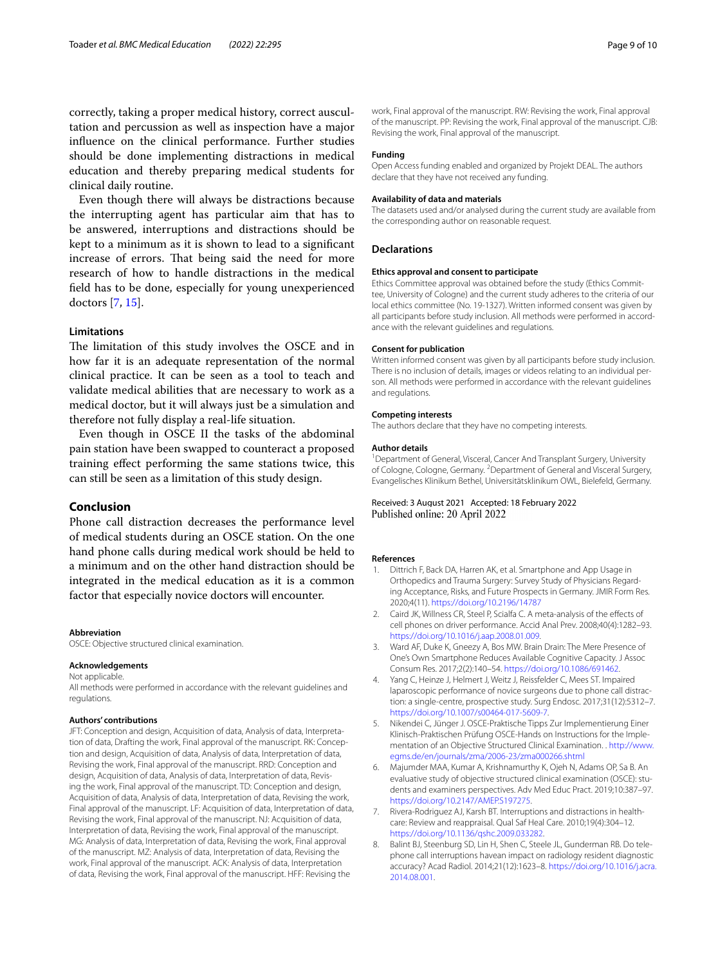correctly, taking a proper medical history, correct auscultation and percussion as well as inspection have a major infuence on the clinical performance. Further studies should be done implementing distractions in medical education and thereby preparing medical students for clinical daily routine.

Even though there will always be distractions because the interrupting agent has particular aim that has to be answered, interruptions and distractions should be kept to a minimum as it is shown to lead to a signifcant increase of errors. That being said the need for more research of how to handle distractions in the medical feld has to be done, especially for young unexperienced doctors [\[7](#page-8-6), [15](#page-9-5)].

## **Limitations**

The limitation of this study involves the OSCE and in how far it is an adequate representation of the normal clinical practice. It can be seen as a tool to teach and validate medical abilities that are necessary to work as a medical doctor, but it will always just be a simulation and therefore not fully display a real-life situation.

Even though in OSCE II the tasks of the abdominal pain station have been swapped to counteract a proposed training efect performing the same stations twice, this can still be seen as a limitation of this study design.

## **Conclusion**

Phone call distraction decreases the performance level of medical students during an OSCE station. On the one hand phone calls during medical work should be held to a minimum and on the other hand distraction should be integrated in the medical education as it is a common factor that especially novice doctors will encounter.

#### **Abbreviation**

OSCE: Objective structured clinical examination.

#### **Acknowledgements**

Not applicable.

All methods were performed in accordance with the relevant guidelines and regulations.

#### **Authors' contributions**

JFT: Conception and design, Acquisition of data, Analysis of data, Interpretation of data, Drafting the work, Final approval of the manuscript. RK: Conception and design, Acquisition of data, Analysis of data, Interpretation of data, Revising the work, Final approval of the manuscript. RRD: Conception and design, Acquisition of data, Analysis of data, Interpretation of data, Revising the work, Final approval of the manuscript. TD: Conception and design, Acquisition of data, Analysis of data, Interpretation of data, Revising the work, Final approval of the manuscript. LF: Acquisition of data, Interpretation of data, Revising the work, Final approval of the manuscript. NJ: Acquisition of data, Interpretation of data, Revising the work, Final approval of the manuscript. MG: Analysis of data, Interpretation of data, Revising the work, Final approval of the manuscript. MZ: Analysis of data, Interpretation of data, Revising the work, Final approval of the manuscript. ACK: Analysis of data, Interpretation of data, Revising the work, Final approval of the manuscript. HFF: Revising the

work, Final approval of the manuscript. RW: Revising the work, Final approval of the manuscript. PP: Revising the work, Final approval of the manuscript. CJB: Revising the work, Final approval of the manuscript.

#### **Funding**

Open Access funding enabled and organized by Projekt DEAL. The authors declare that they have not received any funding.

#### **Availability of data and materials**

The datasets used and/or analysed during the current study are available from the corresponding author on reasonable request.

#### **Declarations**

#### **Ethics approval and consent to participate**

Ethics Committee approval was obtained before the study (Ethics Committee, University of Cologne) and the current study adheres to the criteria of our local ethics committee (No. 19-1327). Written informed consent was given by all participants before study inclusion. All methods were performed in accordance with the relevant guidelines and regulations.

#### **Consent for publication**

Written informed consent was given by all participants before study inclusion. There is no inclusion of details, images or videos relating to an individual person. All methods were performed in accordance with the relevant guidelines and regulations.

#### **Competing interests**

The authors declare that they have no competing interests.

#### **Author details**

<sup>1</sup> Department of General, Visceral, Cancer And Transplant Surgery, University of Cologne, Cologne, Germany. <sup>2</sup> Department of General and Visceral Surgery, Evangelisches Klinikum Bethel, Universitätsklinikum OWL, Bielefeld, Germany.

## Received: 3 August 2021 Accepted: 18 February 2022 Published online: 20 April 2022

#### **References**

- <span id="page-8-0"></span>1. Dittrich F, Back DA, Harren AK, et al. Smartphone and App Usage in Orthopedics and Trauma Surgery: Survey Study of Physicians Regarding Acceptance, Risks, and Future Prospects in Germany. JMIR Form Res. 2020;4(11). <https://doi.org/10.2196/14787>
- <span id="page-8-1"></span>2. Caird JK, Willness CR, Steel P, Scialfa C. A meta-analysis of the efects of cell phones on driver performance. Accid Anal Prev. 2008;40(4):1282–93. <https://doi.org/10.1016/j.aap.2008.01.009>.
- <span id="page-8-2"></span>3. Ward AF, Duke K, Gneezy A, Bos MW. Brain Drain: The Mere Presence of One's Own Smartphone Reduces Available Cognitive Capacity. J Assoc Consum Res. 2017;2(2):140–54.<https://doi.org/10.1086/691462>.
- <span id="page-8-3"></span>4. Yang C, Heinze J, Helmert J, Weitz J, Reissfelder C, Mees ST. Impaired laparoscopic performance of novice surgeons due to phone call distraction: a single-centre, prospective study. Surg Endosc. 2017;31(12):5312–7. [https://doi.org/10.1007/s00464-017-5609-7.](https://doi.org/10.1007/s00464-017-5609-7)
- <span id="page-8-4"></span>5. Nikendei C, Jünger J. OSCE-Praktische Tipps Zur Implementierung Einer Klinisch-Praktischen Prüfung OSCE-Hands on Instructions for the Implementation of an Objective Structured Clinical Examination. . [http://www.](http://www.egms.de/en/journals/zma/2006-23/zma000266.shtml) [egms.de/en/journals/zma/2006-23/zma000266.shtml](http://www.egms.de/en/journals/zma/2006-23/zma000266.shtml)
- <span id="page-8-5"></span>6. Majumder MAA, Kumar A, Krishnamurthy K, Ojeh N, Adams OP, Sa B. An evaluative study of objective structured clinical examination (OSCE): students and examiners perspectives. Adv Med Educ Pract. 2019;10:387–97. [https://doi.org/10.2147/AMEP.S197275.](https://doi.org/10.2147/AMEP.S197275)
- <span id="page-8-6"></span>7. Rivera-Rodriguez AJ, Karsh BT. Interruptions and distractions in healthcare: Review and reappraisal. Qual Saf Heal Care. 2010;19(4):304–12. [https://doi.org/10.1136/qshc.2009.033282.](https://doi.org/10.1136/qshc.2009.033282)
- <span id="page-8-7"></span>8. Balint BJ, Steenburg SD, Lin H, Shen C, Steele JL, Gunderman RB. Do telephone call interruptions havean impact on radiology resident diagnostic accuracy? Acad Radiol. 2014;21(12):1623–8. [https://doi.org/10.1016/j.acra.](https://doi.org/10.1016/j.acra.2014.08.001) [2014.08.001](https://doi.org/10.1016/j.acra.2014.08.001).